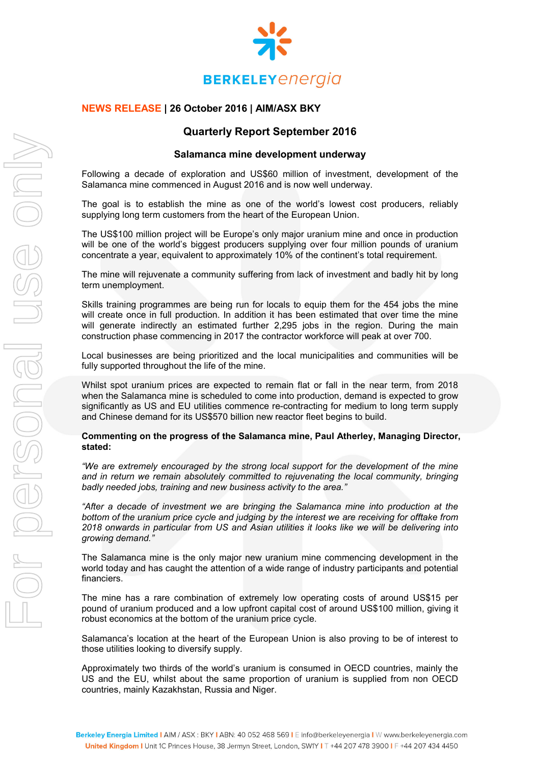

## **NEWS RELEASE | 26 October 2016 | AIM/ASX BKY**

# **Quarterly Report September 2016**

#### **Salamanca mine development underway**

Following a decade of exploration and US\$60 million of investment, development of the Salamanca mine commenced in August 2016 and is now well underway.

The goal is to establish the mine as one of the world's lowest cost producers, reliably supplying long term customers from the heart of the European Union.

The US\$100 million project will be Europe's only major uranium mine and once in production will be one of the world's biggest producers supplying over four million pounds of uranium concentrate a year, equivalent to approximately 10% of the continent's total requirement.

The mine will rejuvenate a community suffering from lack of investment and badly hit by long term unemployment.

Skills training programmes are being run for locals to equip them for the 454 jobs the mine will create once in full production. In addition it has been estimated that over time the mine will generate indirectly an estimated further 2,295 jobs in the region. During the main construction phase commencing in 2017 the contractor workforce will peak at over 700.

Local businesses are being prioritized and the local municipalities and communities will be fully supported throughout the life of the mine.

Whilst spot uranium prices are expected to remain flat or fall in the near term, from 2018 when the Salamanca mine is scheduled to come into production, demand is expected to grow significantly as US and EU utilities commence re-contracting for medium to long term supply and Chinese demand for its US\$570 billion new reactor fleet begins to build.

#### **Commenting on the progress of the Salamanca mine, Paul Atherley, Managing Director, stated:**

*"We are extremely encouraged by the strong local support for the development of the mine and in return we remain absolutely committed to rejuvenating the local community, bringing badly needed jobs, training and new business activity to the area."*

*"After a decade of investment we are bringing the Salamanca mine into production at the bottom of the uranium price cycle and judging by the interest we are receiving for offtake from 2018 onwards in particular from US and Asian utilities it looks like we will be delivering into growing demand."* 

The Salamanca mine is the only major new uranium mine commencing development in the world today and has caught the attention of a wide range of industry participants and potential financiers.

The mine has a rare combination of extremely low operating costs of around US\$15 per pound of uranium produced and a low upfront capital cost of around US\$100 million, giving it robust economics at the bottom of the uranium price cycle.

Salamanca's location at the heart of the European Union is also proving to be of interest to those utilities looking to diversify supply.

Approximately two thirds of the world's uranium is consumed in OECD countries, mainly the US and the EU, whilst about the same proportion of uranium is supplied from non OECD countries, mainly Kazakhstan, Russia and Niger.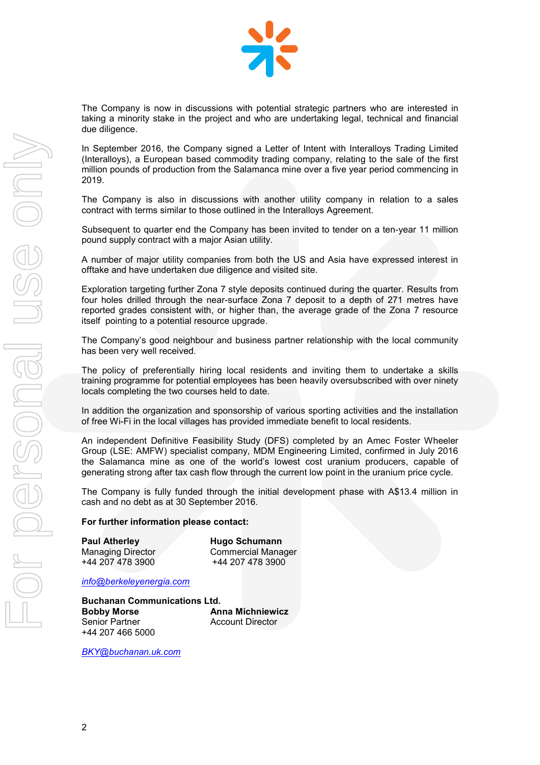

The Company is now in discussions with potential strategic partners who are interested in taking a minority stake in the project and who are undertaking legal, technical and financial due diligence.

In September 2016, the Company signed a Letter of Intent with Interalloys Trading Limited (Interalloys), a European based commodity trading company, relating to the sale of the first million pounds of production from the Salamanca mine over a five year period commencing in 2019.

The Company is also in discussions with another utility company in relation to a sales contract with terms similar to those outlined in the Interalloys Agreement.

Subsequent to quarter end the Company has been invited to tender on a ten-year 11 million pound supply contract with a major Asian utility.

A number of major utility companies from both the US and Asia have expressed interest in offtake and have undertaken due diligence and visited site.

Exploration targeting further Zona 7 style deposits continued during the quarter. Results from four holes drilled through the near-surface Zona 7 deposit to a depth of 271 metres have reported grades consistent with, or higher than, the average grade of the Zona 7 resource itself pointing to a potential resource upgrade.

The Company's good neighbour and business partner relationship with the local community has been very well received.

The policy of preferentially hiring local residents and inviting them to undertake a skills training programme for potential employees has been heavily oversubscribed with over ninety locals completing the two courses held to date.

In addition the organization and sponsorship of various sporting activities and the installation of free Wi-Fi in the local villages has provided immediate benefit to local residents.

An independent Definitive Feasibility Study (DFS) completed by an Amec Foster Wheeler Group (LSE: AMFW) specialist company, MDM Engineering Limited, confirmed in July 2016 the Salamanca mine as one of the world's lowest cost uranium producers, capable of generating strong after tax cash flow through the current low point in the uranium price cycle.

The Company is fully funded through the initial development phase with A\$13.4 million in cash and no debt as at 30 September 2016.

#### **For further information please contact:**

| <b>Paul Atherley</b>     | <b>Hugo Schumann</b>      |
|--------------------------|---------------------------|
| <b>Managing Director</b> | <b>Commercial Manager</b> |
| +44 207 478 3900         | +44 207 478 3900          |

*[info@berkeleyenergia.com](mailto:info@berkeleyenergia.com)*

**Buchanan Communications Ltd. Bobby Morse <b>Anna Michniewicz**<br> **Anna Michniewicz**<br> **Account Director** +44 207 466 5000

**Account Director** 

*[BKY@buchanan.uk.com](mailto:BKY@buchanan.uk.com)*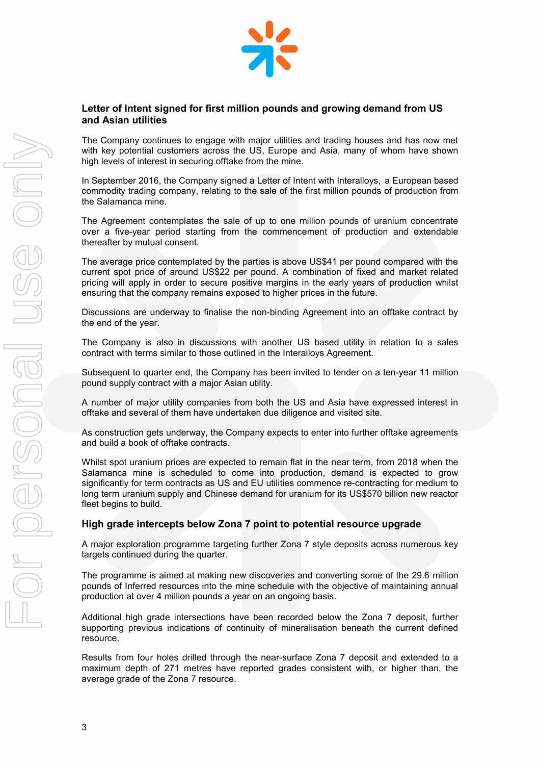

### **Letter of Intent signed for first million pounds and growing demand from US and Asian utilities**

The Company continues to engage with major utilities and trading houses and has now met with key potential customers across the US, Europe and Asia, many of whom have shown high levels of interest in securing offtake from the mine.

In September 2016, the Company signed a Letter of Intent with Interalloys, a European based commodity trading company, relating to the sale of the first million pounds of production from the Salamanca mine.

The Agreement contemplates the sale of up to one million pounds of uranium concentrate over a five-year period starting from the commencement of production and extendable thereafter by mutual consent.

The average price contemplated by the parties is above US\$41 per pound compared with the current spot price of around US\$22 per pound. A combination of fixed and market related pricing will apply in order to secure positive margins in the early years of production whilst ensuring that the company remains exposed to higher prices in the future.

Discussions are underway to finalise the non-binding Agreement into an offtake contract by the end of the year.

The Company is also in discussions with another US based utility in relation to a sales contract with terms similar to those outlined in the Interalloys Agreement.

Subsequent to quarter end, the Company has been invited to tender on a ten-year 11 million pound supply contract with a major Asian utility.

A number of major utility companies from both the US and Asia have expressed interest in offtake and several of them have undertaken due diligence and visited site.

As construction gets underway, the Company expects to enter into further offtake agreements and build a book of offtake contracts.

Whilst spot uranium prices are expected to remain flat in the near term, from 2018 when the Salamanca mine is scheduled to come into production, demand is expected to grow significantly for term contracts as US and EU utilities commence re-contracting for medium to long term uranium supply and Chinese demand for uranium for its US\$570 billion new reactor fleet begins to build.

#### **High grade intercepts below Zona 7 point to potential resource upgrade**

A major exploration programme targeting further Zona 7 style deposits across numerous key targets continued during the quarter.

The programme is aimed at making new discoveries and converting some of the 29.6 million pounds of Inferred resources into the mine schedule with the objective of maintaining annual production at over 4 million pounds a year on an ongoing basis.

Additional high grade intersections have been recorded below the Zona 7 deposit, further supporting previous indications of continuity of mineralisation beneath the current defined resource.

Results from four holes drilled through the near-surface Zona 7 deposit and extended to a maximum depth of 271 metres have reported grades consistent with, or higher than, the average grade of the Zona 7 resource.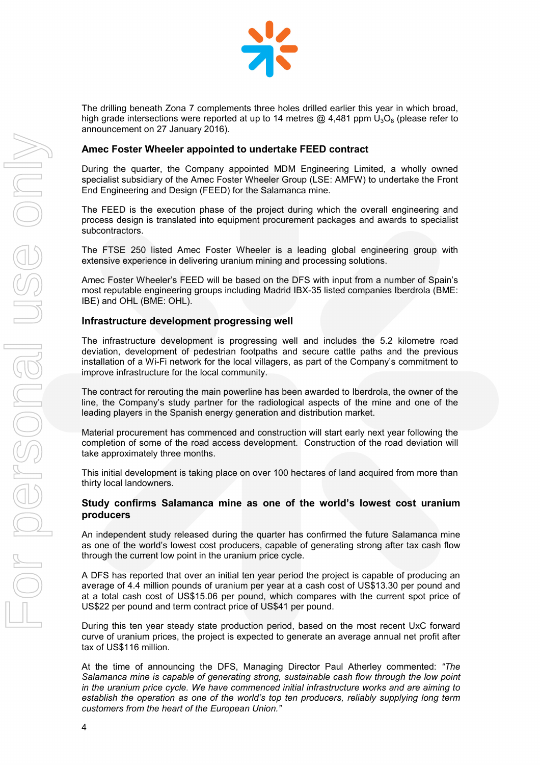

The drilling beneath Zona 7 complements three holes drilled earlier this year in which broad, high grade intersections were reported at up to 14 metres  $\omega$  4.481 ppm  $U_3O_8$  (please refer to announcement on 27 January 2016).

#### **Amec Foster Wheeler appointed to undertake FEED contract**

During the quarter, the Company appointed MDM Engineering Limited, a wholly owned specialist subsidiary of the Amec Foster Wheeler Group (LSE: AMFW) to undertake the Front End Engineering and Design (FEED) for the Salamanca mine.

The FEED is the execution phase of the project during which the overall engineering and process design is translated into equipment procurement packages and awards to specialist subcontractors.

The FTSE 250 listed Amec Foster Wheeler is a leading global engineering group with extensive experience in delivering uranium mining and processing solutions.

Amec Foster Wheeler's FEED will be based on the DFS with input from a number of Spain's most reputable engineering groups including Madrid IBX-35 listed companies Iberdrola (BME: IBE) and OHL (BME: OHL).

### **Infrastructure development progressing well**

The infrastructure development is progressing well and includes the 5.2 kilometre road deviation, development of pedestrian footpaths and secure cattle paths and the previous installation of a Wi-Fi network for the local villagers, as part of the Company's commitment to improve infrastructure for the local community.

The contract for rerouting the main powerline has been awarded to Iberdrola, the owner of the line, the Company's study partner for the radiological aspects of the mine and one of the leading players in the Spanish energy generation and distribution market.

Material procurement has commenced and construction will start early next year following the completion of some of the road access development. Construction of the road deviation will take approximately three months.

This initial development is taking place on over 100 hectares of land acquired from more than thirty local landowners.

### **Study confirms Salamanca mine as one of the world's lowest cost uranium producers**

An independent study released during the quarter has confirmed the future Salamanca mine as one of the world's lowest cost producers, capable of generating strong after tax cash flow through the current low point in the uranium price cycle.

A DFS has reported that over an initial ten year period the project is capable of producing an average of 4.4 million pounds of uranium per year at a cash cost of US\$13.30 per pound and at a total cash cost of US\$15.06 per pound, which compares with the current spot price of US\$22 per pound and term contract price of US\$41 per pound.

During this ten year steady state production period, based on the most recent UxC forward curve of uranium prices, the project is expected to generate an average annual net profit after tax of US\$116 million.

At the time of announcing the DFS, Managing Director Paul Atherley commented: *"The Salamanca mine is capable of generating strong, sustainable cash flow through the low point in the uranium price cycle. We have commenced initial infrastructure works and are aiming to establish the operation as one of the world's top ten producers, reliably supplying long term customers from the heart of the European Union."*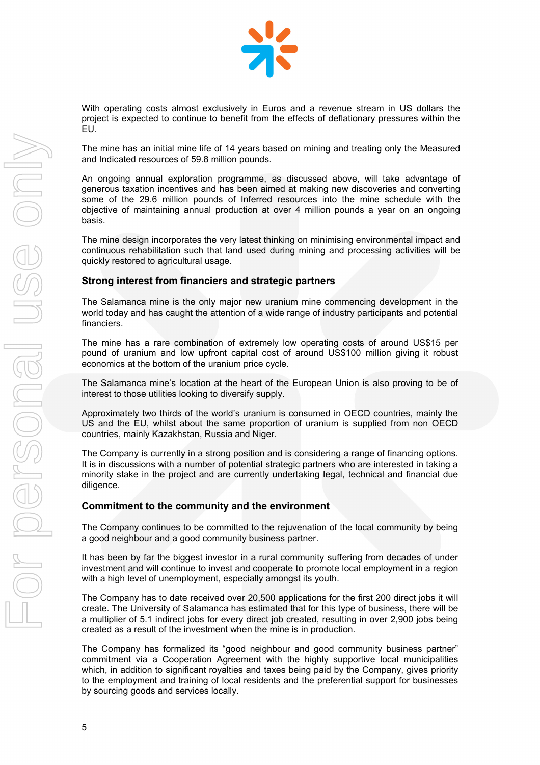

With operating costs almost exclusively in Euros and a revenue stream in US dollars the project is expected to continue to benefit from the effects of deflationary pressures within the EU.

The mine has an initial mine life of 14 years based on mining and treating only the Measured and Indicated resources of 59.8 million pounds.

An ongoing annual exploration programme, as discussed above, will take advantage of generous taxation incentives and has been aimed at making new discoveries and converting some of the 29.6 million pounds of Inferred resources into the mine schedule with the objective of maintaining annual production at over 4 million pounds a year on an ongoing basis.

The mine design incorporates the very latest thinking on minimising environmental impact and continuous rehabilitation such that land used during mining and processing activities will be quickly restored to agricultural usage.

### **Strong interest from financiers and strategic partners**

The Salamanca mine is the only major new uranium mine commencing development in the world today and has caught the attention of a wide range of industry participants and potential financiers.

The mine has a rare combination of extremely low operating costs of around US\$15 per pound of uranium and low upfront capital cost of around US\$100 million giving it robust economics at the bottom of the uranium price cycle.

The Salamanca mine's location at the heart of the European Union is also proving to be of interest to those utilities looking to diversify supply.

Approximately two thirds of the world's uranium is consumed in OECD countries, mainly the US and the EU, whilst about the same proportion of uranium is supplied from non OECD countries, mainly Kazakhstan, Russia and Niger.

The Company is currently in a strong position and is considering a range of financing options. It is in discussions with a number of potential strategic partners who are interested in taking a minority stake in the project and are currently undertaking legal, technical and financial due diligence.

#### **Commitment to the community and the environment**

The Company continues to be committed to the rejuvenation of the local community by being a good neighbour and a good community business partner.

It has been by far the biggest investor in a rural community suffering from decades of under investment and will continue to invest and cooperate to promote local employment in a region with a high level of unemployment, especially amongst its youth.

The Company has to date received over 20,500 applications for the first 200 direct jobs it will create. The University of Salamanca has estimated that for this type of business, there will be a multiplier of 5.1 indirect jobs for every direct job created, resulting in over 2,900 jobs being created as a result of the investment when the mine is in production.

The Company has formalized its "good neighbour and good community business partner" commitment via a Cooperation Agreement with the highly supportive local municipalities which, in addition to significant royalties and taxes being paid by the Company, gives priority to the employment and training of local residents and the preferential support for businesses by sourcing goods and services locally.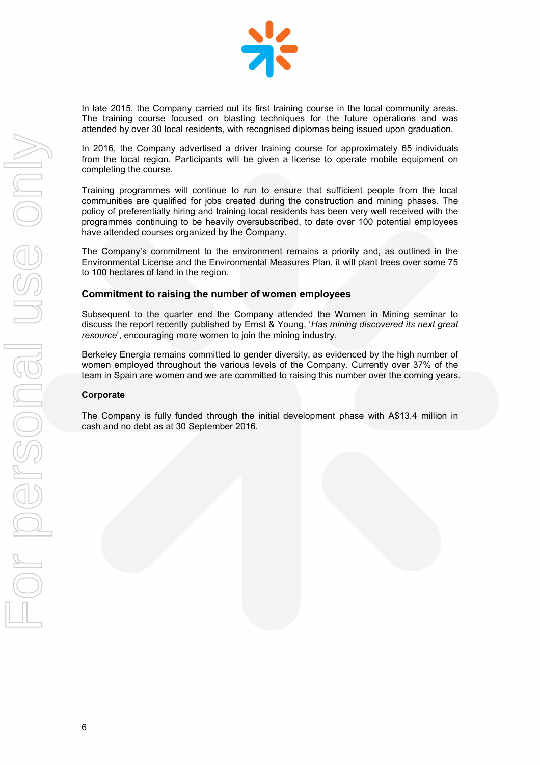

In late 2015, the Company carried out its first training course in the local community areas. The training course focused on blasting techniques for the future operations and was attended by over 30 local residents, with recognised diplomas being issued upon graduation.

In 2016, the Company advertised a driver training course for approximately 65 individuals from the local region. Participants will be given a license to operate mobile equipment on completing the course.

Training programmes will continue to run to ensure that sufficient people from the local communities are qualified for jobs created during the construction and mining phases. The policy of preferentially hiring and training local residents has been very well received with the programmes continuing to be heavily oversubscribed, to date over 100 potential employees have attended courses organized by the Company.

The Company's commitment to the environment remains a priority and, as outlined in the Environmental License and the Environmental Measures Plan, it will plant trees over some 75 to 100 hectares of land in the region.

### **Commitment to raising the number of women employees**

Subsequent to the quarter end the Company attended the Women in Mining seminar to discuss the report recently published by Ernst & Young, '*Has mining discovered its next great resource*', encouraging more women to join the mining industry.

Berkeley Energia remains committed to gender diversity, as evidenced by the high number of women employed throughout the various levels of the Company. Currently over 37% of the team in Spain are women and we are committed to raising this number over the coming years.

#### **Corporate**

The Company is fully funded through the initial development phase with A\$13.4 million in cash and no debt as at 30 September 2016.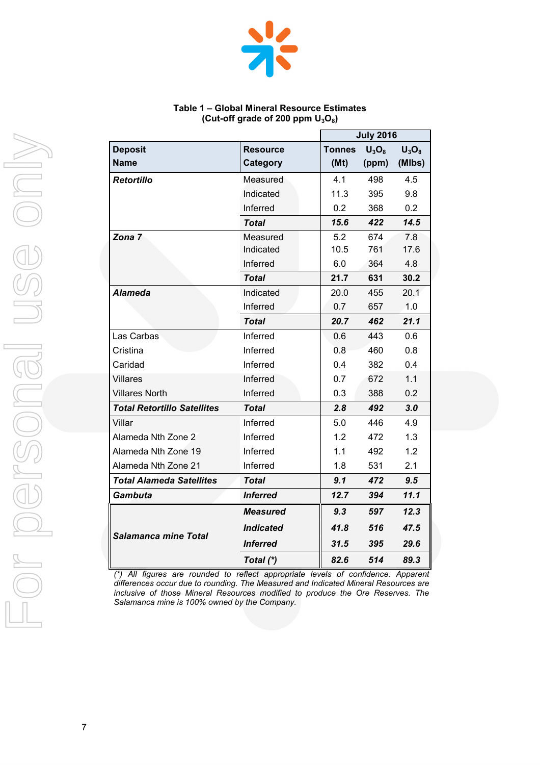

#### **Table 1 – Global Mineral Resource Estimates (Cut-off grade of 200 ppm U3O8)**

|                                    |                        |               | <b>July 2016</b> |               |
|------------------------------------|------------------------|---------------|------------------|---------------|
| <b>Deposit</b>                     | <b>Resource</b>        | <b>Tonnes</b> | $U_3O_8$         | $U_3O_8$      |
| <b>Name</b>                        | Category               | (Mt)          | (ppm)            | (MIbs)        |
| <b>Retortillo</b>                  | Measured               | 4.1           | 498              | 4.5           |
|                                    | Indicated              | 11.3          | 395              | 9.8           |
|                                    | Inferred               | 0.2           | 368              | 0.2           |
|                                    | <b>Total</b>           | 15.6          | 422              | 14.5          |
| Zona 7                             | Measured               | 5.2           | 674              | 7.8           |
|                                    | Indicated              | 10.5          | 761              | 17.6          |
|                                    | Inferred               | 6.0           | 364              | 4.8           |
|                                    | <b>Total</b>           | 21.7          | 631              | 30.2          |
| <b>Alameda</b>                     | Indicated              | 20.0          | 455              | 20.1          |
|                                    | Inferred               | 0.7           | 657              | 1.0           |
|                                    | Total                  | 20.7          | 462              | 21.1          |
| Las Carbas                         | Inferred               | 0.6           | 443              | 0.6           |
| Cristina                           | Inferred               | 0.8           | 460              | 0.8           |
| Caridad                            | Inferred               | 0.4           | 382              | 0.4           |
| <b>Villares</b>                    | Inferred               | 0.7           | 672              | 1.1           |
| <b>Villares North</b>              | Inferred               | 0.3           | 388              | 0.2           |
| <b>Total Retortillo Satellites</b> | <b>Total</b>           | 2.8           | 492              | 3.0           |
| Villar                             | Inferred               | 5.0           | 446              | 4.9           |
| Alameda Nth Zone 2                 | Inferred               | 1.2           | 472              | 1.3           |
| Alameda Nth Zone 19                | Inferred               | 1.1           | 492              | 1.2           |
| Alameda Nth Zone 21                | Inferred               | 1.8           | 531              | 2.1           |
| <b>Total Alameda Satellites</b>    | Total                  | 9.1           | 472              | $9.5^{\circ}$ |
| <b>Gambuta</b>                     | <i><b>Inferred</b></i> | 12.7          | 394              | 11.1          |
|                                    | <b>Measured</b>        | 9.3           | 597              | 12.3          |
| Salamanca mine Total               | <b>Indicated</b>       | 41.8          | 516              | 47.5          |
|                                    | <i><b>Inferred</b></i> | 31.5          | 395              | 29.6          |
|                                    | Total (*)              | 82.6          | 514              | 89.3          |

*(\*) All figures are rounded to reflect appropriate levels of confidence. Apparent differences occur due to rounding. The Measured and Indicated Mineral Resources are inclusive of those Mineral Resources modified to produce the Ore Reserves. The Salamanca mine is 100% owned by the Company.*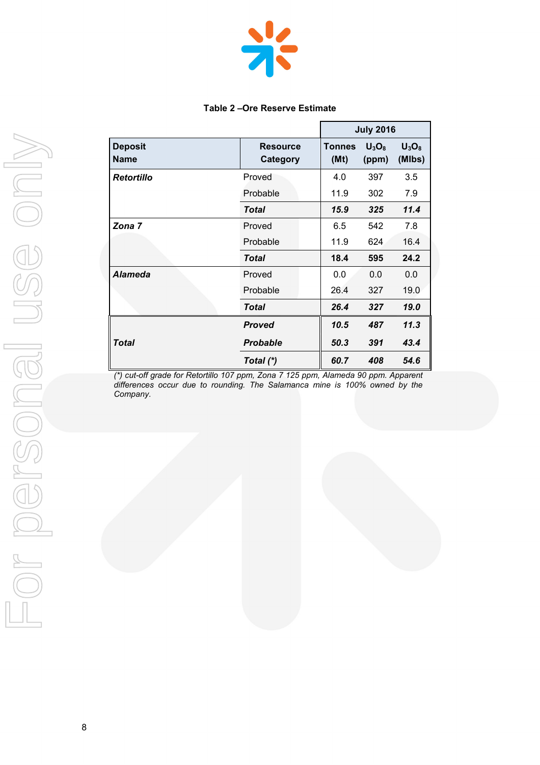

#### **Table 2 –Ore Reserve Estimate**

|                               |                             |                       | <b>July 2016</b>  |                    |
|-------------------------------|-----------------------------|-----------------------|-------------------|--------------------|
| <b>Deposit</b><br><b>Name</b> | <b>Resource</b><br>Category | <b>Tonnes</b><br>(Mt) | $U_3O_8$<br>(ppm) | $U_3O_8$<br>(MIbs) |
| Retortillo                    | Proved                      | 4.0                   | 397               | 3.5                |
|                               | Probable                    | 11.9                  | 302               | 7.9                |
|                               | Total                       | 15.9                  | 325               | 11.4               |
| Zona 7                        | Proved                      | 6.5                   | 542               | 7.8                |
|                               | Probable                    | 11.9                  | 624               | 16.4               |
|                               | Total                       | 18.4                  | 595               | 24.2               |
| <b>Alameda</b>                | Proved                      | 0.0                   | 0.0               | 0.0                |
|                               | Probable                    | 26.4                  | 327               | 19.0               |
|                               | Total                       | 26.4                  | 327               | 19.0               |
|                               | <b>Proved</b>               | 10.5                  | 487               | 11.3               |
| <b>Total</b>                  | <b>Probable</b>             | 50.3                  | 391               | 43.4               |
|                               | Total (*)                   | 60.7                  | 408               | 54.6               |

*(\*) cut-off grade for Retortillo 107 ppm, Zona 7 125 ppm, Alameda 90 ppm. Apparent differences occur due to rounding. The Salamanca mine is 100% owned by the Company.*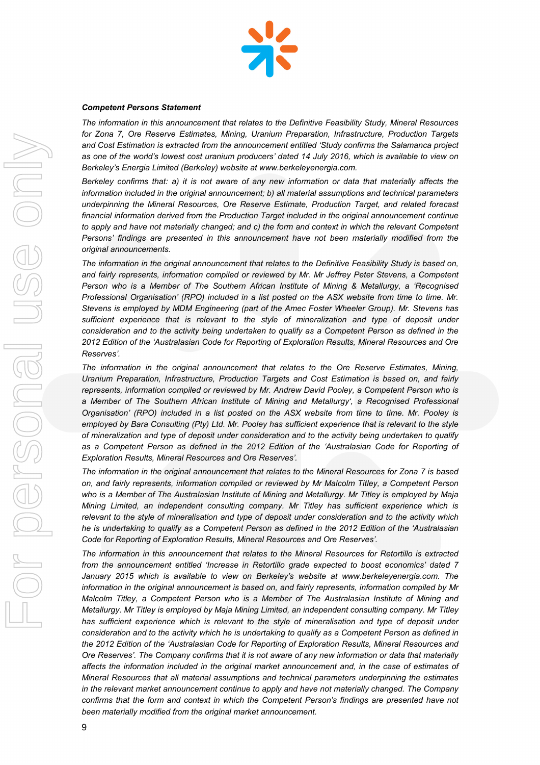

#### *Competent Persons Statement*

*The information in this announcement that relates to the Definitive Feasibility Study, Mineral Resources for Zona 7, Ore Reserve Estimates, Mining, Uranium Preparation, Infrastructure, Production Targets and Cost Estimation is extracted from the announcement entitled 'Study confirms the Salamanca project as one of the world's lowest cost uranium producers' dated 14 July 2016, which is available to view on Berkeley's Energia Limited (Berkeley) website at www.berkeleyenergia.com.*

*Berkeley confirms that: a) it is not aware of any new information or data that materially affects the information included in the original announcement; b) all material assumptions and technical parameters underpinning the Mineral Resources, Ore Reserve Estimate, Production Target, and related forecast financial information derived from the Production Target included in the original announcement continue to apply and have not materially changed; and c) the form and context in which the relevant Competent Persons' findings are presented in this announcement have not been materially modified from the original announcements.*

*The information in the original announcement that relates to the Definitive Feasibility Study is based on, and fairly represents, information compiled or reviewed by Mr. Mr Jeffrey Peter Stevens, a Competent Person who is a Member of The Southern African Institute of Mining & Metallurgy, a 'Recognised Professional Organisation' (RPO) included in a list posted on the ASX website from time to time. Mr. Stevens is employed by MDM Engineering (part of the Amec Foster Wheeler Group). Mr. Stevens has sufficient experience that is relevant to the style of mineralization and type of deposit under consideration and to the activity being undertaken to qualify as a Competent Person as defined in the 2012 Edition of the 'Australasian Code for Reporting of Exploration Results, Mineral Resources and Ore Reserves'.*

*The information in the original announcement that relates to the Ore Reserve Estimates, Mining, Uranium Preparation, Infrastructure, Production Targets and Cost Estimation is based on, and fairly represents, information compiled or reviewed by Mr. Andrew David Pooley, a Competent Person who is a Member of The Southern African Institute of Mining and Metallurgy', a Recognised Professional Organisation' (RPO) included in a list posted on the ASX website from time to time. Mr. Pooley is employed by Bara Consulting (Pty) Ltd. Mr. Pooley has sufficient experience that is relevant to the style of mineralization and type of deposit under consideration and to the activity being undertaken to qualify as a Competent Person as defined in the 2012 Edition of the 'Australasian Code for Reporting of Exploration Results, Mineral Resources and Ore Reserves'.*

*The information in the original announcement that relates to the Mineral Resources for Zona 7 is based on, and fairly represents, information compiled or reviewed by Mr Malcolm Titley, a Competent Person who is a Member of The Australasian Institute of Mining and Metallurgy. Mr Titley is employed by Maja Mining Limited, an independent consulting company. Mr Titley has sufficient experience which is relevant to the style of mineralisation and type of deposit under consideration and to the activity which he is undertaking to qualify as a Competent Person as defined in the 2012 Edition of the 'Australasian Code for Reporting of Exploration Results, Mineral Resources and Ore Reserves'.*

*The information in this announcement that relates to the Mineral Resources for Retortillo is extracted from the announcement entitled 'Increase in Retortillo grade expected to boost economics' dated 7 January 2015 which is available to view on Berkeley's website at www.berkeleyenergia.com. The information in the original announcement is based on, and fairly represents, information compiled by Mr Malcolm Titley, a Competent Person who is a Member of The Australasian Institute of Mining and Metallurgy. Mr Titley is employed by Maja Mining Limited, an independent consulting company. Mr Titley*  has sufficient experience which is relevant to the style of mineralisation and type of deposit under *consideration and to the activity which he is undertaking to qualify as a Competent Person as defined in the 2012 Edition of the 'Australasian Code for Reporting of Exploration Results, Mineral Resources and Ore Reserves'. The Company confirms that it is not aware of any new information or data that materially affects the information included in the original market announcement and, in the case of estimates of Mineral Resources that all material assumptions and technical parameters underpinning the estimates in the relevant market announcement continue to apply and have not materially changed. The Company confirms that the form and context in which the Competent Person's findings are presented have not been materially modified from the original market announcement.*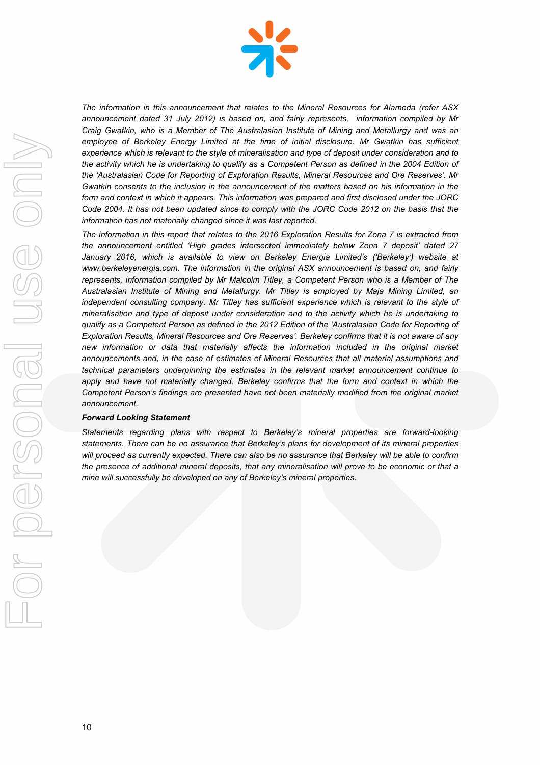

*The information in this announcement that relates to the Mineral Resources for Alameda (refer ASX announcement dated 31 July 2012) is based on, and fairly represents, information compiled by Mr Craig Gwatkin, who is a Member of The Australasian Institute of Mining and Metallurgy and was an*  employee of Berkeley Energy Limited at the time of initial disclosure. Mr Gwatkin has sufficient *experience which is relevant to the style of mineralisation and type of deposit under consideration and to*  the activity which he is undertaking to qualify as a Competent Person as defined in the 2004 Edition of *the 'Australasian Code for Reporting of Exploration Results, Mineral Resources and Ore Reserves'. Mr Gwatkin consents to the inclusion in the announcement of the matters based on his information in the form and context in which it appears. This information was prepared and first disclosed under the JORC Code 2004. It has not been updated since to comply with the JORC Code 2012 on the basis that the information has not materially changed since it was last reported.*

*The information in this report that relates to the 2016 Exploration Results for Zona 7 is extracted from the announcement entitled 'High grades intersected immediately below Zona 7 deposit' dated 27 January 2016, which is available to view on Berkeley Energia Limited's ('Berkeley') website at www.berkeleyenergia.com. The information in the original ASX announcement is based on, and fairly represents, information compiled by Mr Malcolm Titley, a Competent Person who is a Member of The Australasian Institute of Mining and Metallurgy. Mr Titley is employed by Maja Mining Limited, an*  independent consulting company. Mr Titley has sufficient experience which is relevant to the style of *mineralisation and type of deposit under consideration and to the activity which he is undertaking to qualify as a Competent Person as defined in the 2012 Edition of the 'Australasian Code for Reporting of Exploration Results, Mineral Resources and Ore Reserves'. Berkeley confirms that it is not aware of any new information or data that materially affects the information included in the original market announcements and, in the case of estimates of Mineral Resources that all material assumptions and technical parameters underpinning the estimates in the relevant market announcement continue to*  apply and have not materially changed. Berkeley confirms that the form and context in which the *Competent Person's findings are presented have not been materially modified from the original market announcement.*

#### *Forward Looking Statement*

*Statements regarding plans with respect to Berkeley's mineral properties are forward-looking statements. There can be no assurance that Berkeley's plans for development of its mineral properties will proceed as currently expected. There can also be no assurance that Berkeley will be able to confirm the presence of additional mineral deposits, that any mineralisation will prove to be economic or that a mine will successfully be developed on any of Berkeley's mineral properties.*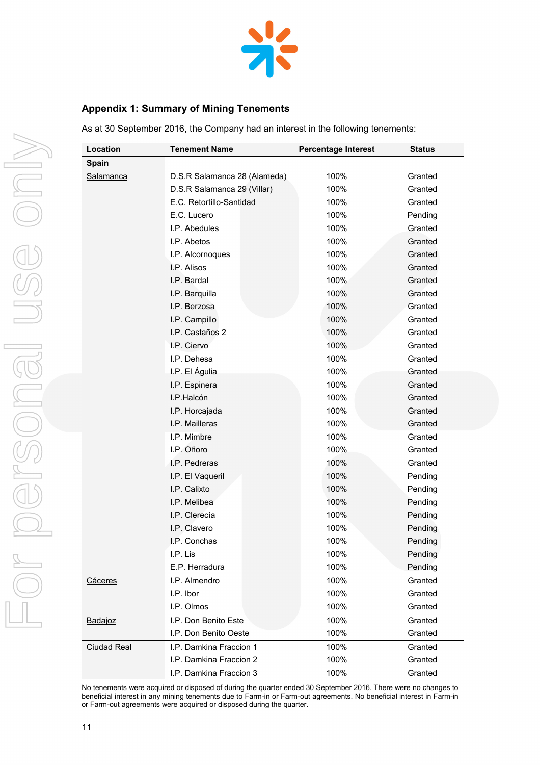

# **Appendix 1: Summary of Mining Tenements**

As at 30 September 2016, the Company had an interest in the following tenements:

| Location           | <b>Tenement Name</b>         | <b>Percentage Interest</b> | <b>Status</b> |
|--------------------|------------------------------|----------------------------|---------------|
| Spain              |                              |                            |               |
| Salamanca          | D.S.R Salamanca 28 (Alameda) | 100%                       | Granted       |
|                    | D.S.R Salamanca 29 (Villar)  | 100%                       | Granted       |
|                    | E.C. Retortillo-Santidad     | 100%                       | Granted       |
|                    | E.C. Lucero                  | 100%                       | Pending       |
|                    | I.P. Abedules                | 100%                       | Granted       |
|                    | I.P. Abetos                  | 100%                       | Granted       |
|                    | I.P. Alcornoques             | 100%                       | Granted       |
|                    | I.P. Alisos                  | 100%                       | Granted       |
|                    | I.P. Bardal                  | 100%                       | Granted       |
|                    | I.P. Barquilla               | 100%                       | Granted       |
|                    | I.P. Berzosa                 | 100%                       | Granted       |
|                    | I.P. Campillo                | 100%                       | Granted       |
|                    | I.P. Castaños 2              | 100%                       | Granted       |
|                    | I.P. Ciervo                  | 100%                       | Granted       |
|                    | I.P. Dehesa                  | 100%                       | Granted       |
|                    | I.P. El Águlia               | 100%                       | Granted       |
|                    | I.P. Espinera                | 100%                       | Granted       |
|                    | I.P.Halcón                   | 100%                       | Granted       |
|                    | I.P. Horcajada               | 100%                       | Granted       |
|                    | I.P. Mailleras               | 100%                       | Granted       |
|                    | I.P. Mimbre                  | 100%                       | Granted       |
|                    | I.P. Oñoro                   | 100%                       | Granted       |
|                    | I.P. Pedreras                | 100%                       | Granted       |
|                    | I.P. El Vaqueril             | 100%                       | Pending       |
|                    | I.P. Calixto                 | 100%                       | Pending       |
|                    | I.P. Melibea                 | 100%                       | Pending       |
|                    | I.P. Clerecía                | 100%                       | Pending       |
|                    | I.P. Clavero                 | 100%                       | Pending       |
|                    | I.P. Conchas                 | 100%                       | Pending       |
|                    | I.P. Lis                     | 100%                       | Pending       |
|                    | E.P. Herradura               | 100%                       | Pending       |
| Cáceres            | I.P. Almendro                | 100%                       | Granted       |
|                    | I.P. Ibor                    | 100%                       | Granted       |
|                    | I.P. Olmos                   | 100%                       | Granted       |
| Badajoz            | I.P. Don Benito Este         | 100%                       | Granted       |
|                    | I.P. Don Benito Oeste        | 100%                       | Granted       |
| <b>Ciudad Real</b> | I.P. Damkina Fraccion 1      | 100%                       | Granted       |
|                    | I.P. Damkina Fraccion 2      | 100%                       | Granted       |
|                    | I.P. Damkina Fraccion 3      | 100%                       | Granted       |

No tenements were acquired or disposed of during the quarter ended 30 September 2016. There were no changes to beneficial interest in any mining tenements due to Farm-in or Farm-out agreements. No beneficial interest in Farm-in or Farm-out agreements were acquired or disposed during the quarter.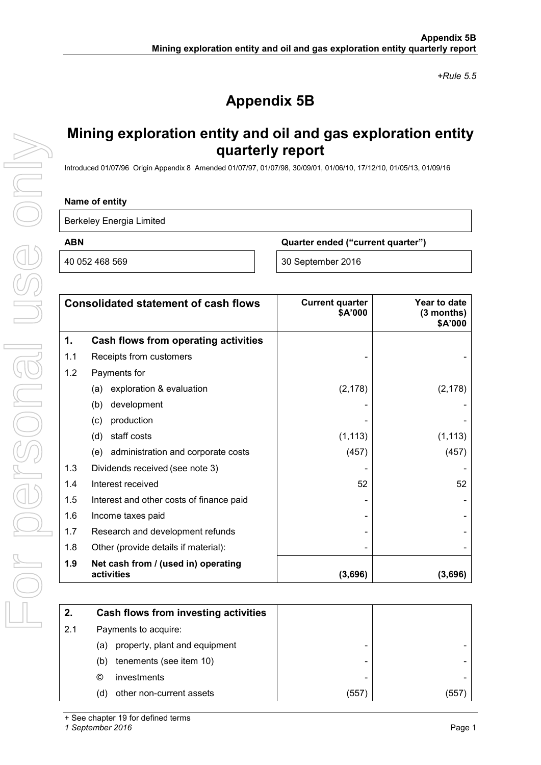*+Rule 5.5*

# **Appendix 5B**

# **Mining exploration entity and oil and gas exploration entity quarterly report**

Introduced 01/07/96 Origin Appendix 8 Amended 01/07/97, 01/07/98, 30/09/01, 01/06/10, 17/12/10, 01/05/13, 01/09/16

#### **Name of entity**

Berkeley Energia Limited

**ABN Quarter ended ("current quarter")**

40 052 468 569 30 September 2016

|     | <b>Consolidated statement of cash flows</b>       | <b>Current quarter</b><br><b>\$A'000</b> | Year to date<br>(3 months)<br>\$A'000 |
|-----|---------------------------------------------------|------------------------------------------|---------------------------------------|
| 1.  | Cash flows from operating activities              |                                          |                                       |
| 1.1 | Receipts from customers                           |                                          |                                       |
| 1.2 | Payments for                                      |                                          |                                       |
|     | exploration & evaluation<br>(a)                   | (2, 178)                                 | (2, 178)                              |
|     | development<br>(b)                                |                                          |                                       |
|     | production<br>(c)                                 |                                          |                                       |
|     | staff costs<br>(d)                                | (1, 113)                                 | (1, 113)                              |
|     | administration and corporate costs<br>(e)         | (457)                                    | (457)                                 |
| 1.3 | Dividends received (see note 3)                   |                                          |                                       |
| 1.4 | Interest received                                 | 52                                       | 52                                    |
| 1.5 | Interest and other costs of finance paid          |                                          |                                       |
| 1.6 | Income taxes paid                                 |                                          |                                       |
| 1.7 | Research and development refunds                  |                                          |                                       |
| 1.8 | Other (provide details if material):              |                                          |                                       |
| 1.9 | Net cash from / (used in) operating<br>activities | (3,696)                                  | (3,696)                               |

| 2.  | Cash flows from investing activities |       |       |
|-----|--------------------------------------|-------|-------|
| 2.1 | Payments to acquire:                 |       |       |
|     | property, plant and equipment<br>(a) |       |       |
|     | tenements (see item 10)<br>(b)       |       |       |
|     | investments<br>O                     |       |       |
|     | other non-current assets<br>(d)      | (557) | (557) |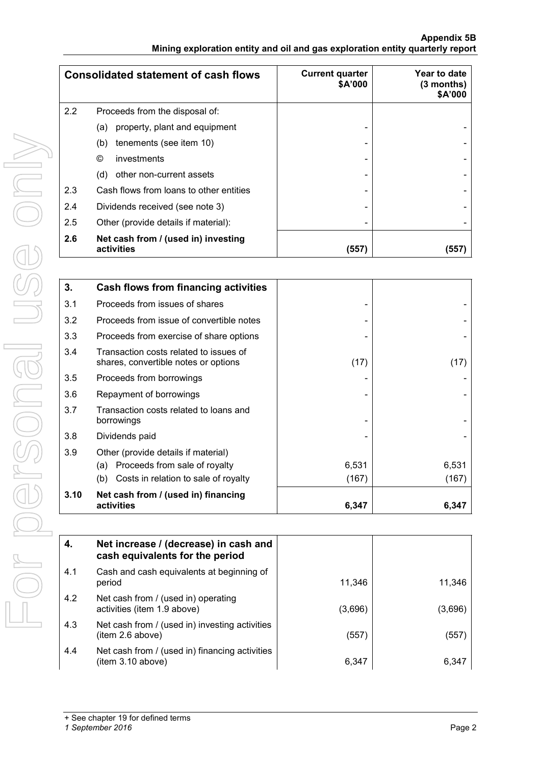#### **Appendix 5B Mining exploration entity and oil and gas exploration entity quarterly report**

|     | <b>Consolidated statement of cash flows</b>       | <b>Current quarter</b><br>\$A'000 | Year to date<br>$(3$ months)<br>\$A'000 |
|-----|---------------------------------------------------|-----------------------------------|-----------------------------------------|
| 2.2 | Proceeds from the disposal of:                    |                                   |                                         |
|     | property, plant and equipment<br>(a)              |                                   |                                         |
|     | tenements (see item 10)<br>(b)                    |                                   |                                         |
|     | $\circledcirc$<br>investments                     |                                   |                                         |
|     | other non-current assets<br>(d)                   |                                   |                                         |
| 2.3 | Cash flows from loans to other entities           |                                   |                                         |
| 2.4 | Dividends received (see note 3)                   | -                                 |                                         |
| 2.5 | Other (provide details if material):              |                                   |                                         |
| 2.6 | Net cash from / (used in) investing<br>activities | (557)                             | (557)                                   |

| 3.   | <b>Cash flows from financing activities</b>                                    |       |       |
|------|--------------------------------------------------------------------------------|-------|-------|
| 3.1  | Proceeds from issues of shares                                                 |       |       |
| 3.2  | Proceeds from issue of convertible notes                                       |       |       |
| 3.3  | Proceeds from exercise of share options                                        |       |       |
| 3.4  | Transaction costs related to issues of<br>shares, convertible notes or options | (17)  | (17)  |
| 3.5  | Proceeds from borrowings                                                       |       |       |
| 3.6  | Repayment of borrowings                                                        |       |       |
| 3.7  | Transaction costs related to loans and<br>borrowings                           |       |       |
| 3.8  | Dividends paid                                                                 |       |       |
| 3.9  | Other (provide details if material)                                            |       |       |
|      | Proceeds from sale of royalty<br>(a)                                           | 6,531 | 6,531 |
|      | Costs in relation to sale of royalty<br>(b)                                    | (167) | (167) |
| 3.10 | Net cash from / (used in) financing<br>activities                              | 6,347 | 6,347 |

| 4.  | Net increase / (decrease) in cash and<br>cash equivalents for the period |         |         |
|-----|--------------------------------------------------------------------------|---------|---------|
| 4.1 | Cash and cash equivalents at beginning of<br>period                      | 11,346  | 11,346  |
| 4.2 | Net cash from / (used in) operating<br>activities (item 1.9 above)       | (3,696) | (3,696) |
| 4.3 | Net cash from / (used in) investing activities<br>item 2.6 above)        | (557)   | (557)   |
| 4.4 | Net cash from / (used in) financing activities<br>item 3.10 above)       | 6,347   | 6,347   |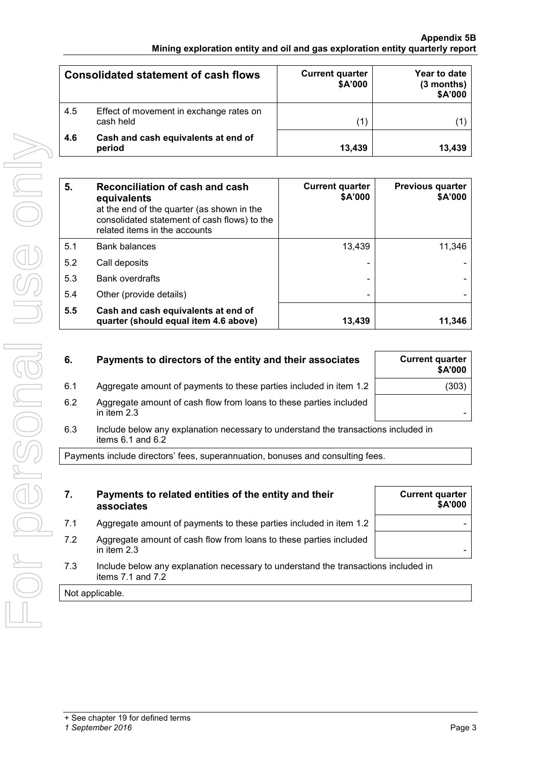|     | <b>Consolidated statement of cash flows</b>          | <b>Current quarter</b><br>\$A'000 | Year to date<br>$(3$ months)<br>\$A'000 |
|-----|------------------------------------------------------|-----------------------------------|-----------------------------------------|
| 4.5 | Effect of movement in exchange rates on<br>cash held |                                   |                                         |
| 4.6 | Cash and cash equivalents at end of<br>period        | 13,439                            | 13,439                                  |

| 5.  | Reconciliation of cash and cash<br>equivalents<br>at the end of the quarter (as shown in the<br>consolidated statement of cash flows) to the<br>related items in the accounts | <b>Current quarter</b><br>\$A'000 | <b>Previous quarter</b><br>\$A'000 |
|-----|-------------------------------------------------------------------------------------------------------------------------------------------------------------------------------|-----------------------------------|------------------------------------|
| 5.1 | <b>Bank balances</b>                                                                                                                                                          | 13,439                            | 11,346                             |
| 5.2 | Call deposits                                                                                                                                                                 |                                   |                                    |
| 5.3 | <b>Bank overdrafts</b>                                                                                                                                                        |                                   |                                    |
| 5.4 | Other (provide details)                                                                                                                                                       | $\overline{\phantom{0}}$          |                                    |
| 5.5 | Cash and cash equivalents at end of<br>quarter (should equal item 4.6 above)                                                                                                  | 13,439                            | 11,346                             |

| 6.  | Payments to directors of the entity and their associates           | <b>Current quarter</b><br>\$A'000 |
|-----|--------------------------------------------------------------------|-----------------------------------|
| 6.1 | Aggregate amount of payments to these parties included in item 1.2 | (303)                             |
| 6.2 | Aggregate amount of cash flow from loans to these parties included |                                   |

in item 2.3 - 6.3 Include below any explanation necessary to understand the transactions included in

items 6.1 and 6.2

Payments include directors' fees, superannuation, bonuses and consulting fees.

- **7. Payments to related entities of the entity and their associates**
- 7.1 Aggregate amount of payments to these parties included in item 1.2
- 7.2 Aggregate amount of cash flow from loans to these parties included in item 2.3
- 7.3 Include below any explanation necessary to understand the transactions included in items 7.1 and 7.2

Not applicable.

**Current quarter**

**\$A'000**

*<sup>1</sup> September 2016* Page 3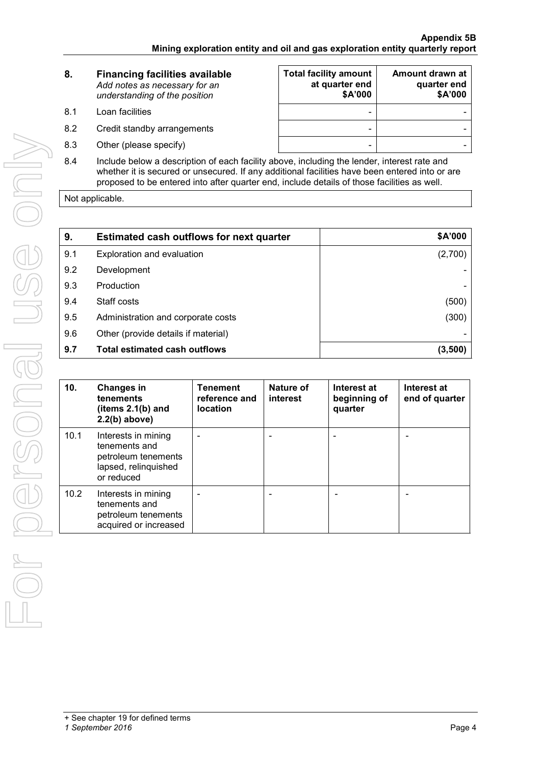| 8. | <b>Financing facilities available</b> |
|----|---------------------------------------|
|    | Add notes as necessary for an         |
|    | understanding of the position         |
|    |                                       |

- 8.1 Loan facilities
- 8.2 Credit standby arrangements
- 8.3 Other (please specify)

| <b>Total facility amount</b><br>at quarter end<br>\$A'000 | Amount drawn at<br>quarter end<br>\$A'000 |
|-----------------------------------------------------------|-------------------------------------------|
|                                                           |                                           |
|                                                           |                                           |
|                                                           |                                           |

8.4 Include below a description of each facility above, including the lender, interest rate and whether it is secured or unsecured. If any additional facilities have been entered into or are proposed to be entered into after quarter end, include details of those facilities as well.

Not applicable.

| 9.  | <b>Estimated cash outflows for next quarter</b> | \$A'000 |
|-----|-------------------------------------------------|---------|
| 9.1 | Exploration and evaluation                      | (2,700) |
| 9.2 | Development                                     |         |
| 9.3 | Production                                      |         |
| 9.4 | Staff costs                                     | (500)   |
| 9.5 | Administration and corporate costs              | (300)   |
| 9.6 | Other (provide details if material)             |         |
| 9.7 | <b>Total estimated cash outflows</b>            | (3,500) |

| 10.  | <b>Changes in</b><br>tenements<br>(items $2.1(b)$ and<br>$2.2(b)$ above)                          | <b>Tenement</b><br>reference and<br><b>location</b> | Nature of<br>interest | Interest at<br>beginning of<br>quarter | Interest at<br>end of quarter |
|------|---------------------------------------------------------------------------------------------------|-----------------------------------------------------|-----------------------|----------------------------------------|-------------------------------|
| 10.1 | Interests in mining<br>tenements and<br>petroleum tenements<br>lapsed, relinquished<br>or reduced |                                                     |                       |                                        |                               |
| 10.2 | Interests in mining<br>tenements and<br>petroleum tenements<br>acquired or increased              |                                                     |                       |                                        |                               |